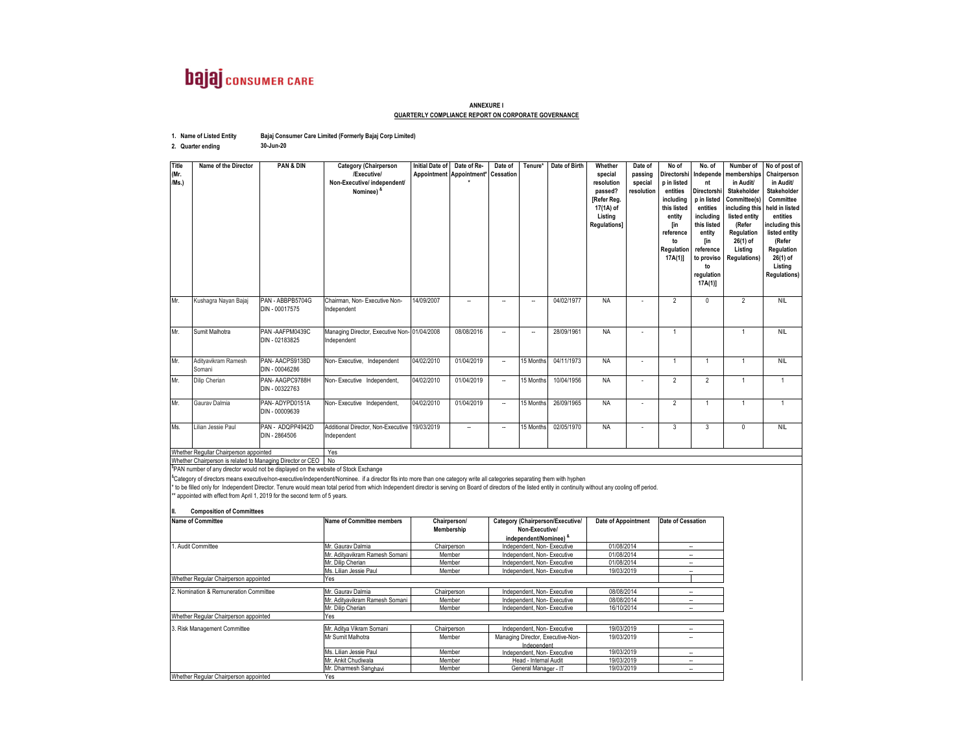

## **ANNEXURE I QUARTERLY COMPLIANCE REPORT ON CORPORATE GOVERNANCE**

| 1. Name of Listed Entity | Bajaj Consumer Care Limited (Formerly Bajaj Corp Limited) |
|--------------------------|-----------------------------------------------------------|
|--------------------------|-----------------------------------------------------------|

**30-Jun-20**

**2. Quarter ending**

| <b>Title</b><br>(Mr.<br>/Ms.)                 | Name of the Director          | PAN & DIN                          | <b>Category (Chairperson</b><br>/Executive/<br>Non-Executive/ independent/<br>Nominee) & | <b>Initial Date of</b> | Date of Re-<br>Appointment Appointment* Cessation | Date of                  | Tenure*   | Date of Birth | Whether<br>special<br>resolution<br>passed?<br>[Refer Reg.<br>17(1A) of<br>Listing<br>Regulations] | Date of<br>passing<br>special<br>resolution | No of<br>Directorshi<br>p in listed<br>entities<br>including<br>this listed<br>entity<br>[in<br>reference<br>to<br>Regulation<br>$17A(1)$ ] | No. of<br>Independe<br>nt<br>Directorshi<br>p in listed<br>entities<br>includina<br>this listed<br>entity<br>[in<br>reference<br>to proviso<br>to<br>regulation<br>17A(1) | Number of<br>memberships<br>in Audit/<br>Stakeholder<br>Committee(s)<br>including this<br>listed entity<br>(Refer<br>Regulation<br>26(1) of<br>Listina<br><b>Regulations)</b> | No of post of<br>Chairperson<br>in Audit/<br><b>Stakeholder</b><br>Committee<br>held in listed<br>entities<br>including this<br>listed entity<br>(Refer<br>Regulation<br>$26(1)$ of<br>Listing<br><b>Regulations)</b> |
|-----------------------------------------------|-------------------------------|------------------------------------|------------------------------------------------------------------------------------------|------------------------|---------------------------------------------------|--------------------------|-----------|---------------|----------------------------------------------------------------------------------------------------|---------------------------------------------|---------------------------------------------------------------------------------------------------------------------------------------------|---------------------------------------------------------------------------------------------------------------------------------------------------------------------------|-------------------------------------------------------------------------------------------------------------------------------------------------------------------------------|-----------------------------------------------------------------------------------------------------------------------------------------------------------------------------------------------------------------------|
| Mr.                                           | Kushagra Nayan Bajaj          | PAN - ABBPB5704G<br>DIN - 00017575 | Chairman, Non- Executive Non-<br>Independent                                             | 14/09/2007             |                                                   | --                       | Ξ.        | 04/02/1977    | <b>NA</b>                                                                                          |                                             | $\overline{2}$                                                                                                                              | $\Omega$                                                                                                                                                                  | $\overline{2}$                                                                                                                                                                | <b>NIL</b>                                                                                                                                                                                                            |
| Mr.                                           | Sumit Malhotra                | PAN-AAFPM0439C<br>DIN - 02183825   | Managing Director, Executive Non- 01/04/2008<br>Independent                              |                        | 08/08/2016                                        | $\overline{\phantom{a}}$ | Ξ.        | 28/09/1961    | <b>NA</b>                                                                                          |                                             |                                                                                                                                             |                                                                                                                                                                           |                                                                                                                                                                               | <b>NIL</b>                                                                                                                                                                                                            |
| Mr.                                           | Aditvavikram Ramesh<br>Somani | PAN-AACPS9138D<br>DIN - 00046286   | Non-Executive, Independent                                                               | 04/02/2010             | 01/04/2019                                        | $\overline{\phantom{a}}$ | 15 Months | 04/11/1973    | <b>NA</b>                                                                                          |                                             | -1                                                                                                                                          | 1                                                                                                                                                                         |                                                                                                                                                                               | <b>NIL</b>                                                                                                                                                                                                            |
| Mr.                                           | Dilip Cherian                 | PAN-AAGPC9788H<br>DIN - 00322763   | Non-Executive Independent,                                                               | 04/02/2010             | 01/04/2019                                        | $\overline{\phantom{a}}$ | 15 Months | 10/04/1956    | <b>NA</b>                                                                                          |                                             | $\overline{2}$                                                                                                                              | $\overline{2}$                                                                                                                                                            |                                                                                                                                                                               |                                                                                                                                                                                                                       |
| Mr.                                           | Gaurav Dalmia                 | PAN-ADYPD0151A<br>DIN - 00009639   | Non-Executive Independent,                                                               | 04/02/2010             | 01/04/2019                                        | $\overline{\phantom{a}}$ | 15 Months | 26/09/1965    | <b>NA</b>                                                                                          |                                             | $\overline{2}$                                                                                                                              | $\overline{1}$                                                                                                                                                            |                                                                                                                                                                               |                                                                                                                                                                                                                       |
| Ms.                                           | Lilian Jessie Paul            | PAN - ADQPP4942D<br>DIN - 2864506  | Additional Director, Non-Executive 19/03/2019<br>Independent                             |                        | $\overline{\phantom{a}}$                          | $\overline{\phantom{a}}$ | 15 Months | 02/05/1970    | <b>NA</b>                                                                                          |                                             | 3                                                                                                                                           | 3                                                                                                                                                                         | 0                                                                                                                                                                             | <b>NIL</b>                                                                                                                                                                                                            |
| Whether Regullar Chairperson appointed        |                               | Yes                                |                                                                                          |                        |                                                   |                          |           |               |                                                                                                    |                                             |                                                                                                                                             |                                                                                                                                                                           |                                                                                                                                                                               |                                                                                                                                                                                                                       |
| Milandham Oberford and a financial dealership |                               |                                    |                                                                                          |                        |                                                   |                          |           |               |                                                                                                    |                                             |                                                                                                                                             |                                                                                                                                                                           |                                                                                                                                                                               |                                                                                                                                                                                                                       |

Whether Chairperson is related to Managing Director or CEO II No<br><sup>\$</sup>PAN number of any director would not be displayed on the website of Stock Exchange

<sup>4</sup>Category of directors means executive/non-executive/independent/Nominee. if a director fits into more than one category write all categories separating them with hyphen<br>\* to be filled only for Independent Director. Ten

## **II. Composition of Committees**

| <b>Name of Committee</b>               | <b>Name of Committee members</b> | Chairperson/                         | Category (Chairperson/Executive/                               | <b>Date of Appointment</b> | Date of Cessation |  |  |
|----------------------------------------|----------------------------------|--------------------------------------|----------------------------------------------------------------|----------------------------|-------------------|--|--|
|                                        |                                  | Membership                           | Non-Executive/                                                 |                            |                   |  |  |
|                                        |                                  |                                      | independent/Nominee) &                                         |                            |                   |  |  |
| 1. Audit Committee                     | Mr. Gaurav Dalmia                | Chairperson                          | Independent, Non-Executive                                     | 01/08/2014                 |                   |  |  |
|                                        | Mr. Aditvavikram Ramesh Somani   | Member                               | Independent, Non-Executive                                     | 01/08/2014                 |                   |  |  |
|                                        | Mr. Dilip Cherian                | Independent, Non-Executive<br>Member |                                                                | 01/08/2014                 | --                |  |  |
|                                        | Ms. Lilian Jessie Paul           | Member                               | Independent, Non-Executive                                     | 19/03/2019                 | -                 |  |  |
| Whether Regular Chairperson appointed  | Yes                              |                                      |                                                                |                            |                   |  |  |
| 2. Nomination & Remuneration Committee | Mr. Gaurav Dalmia                | Chairperson                          | Independent, Non-Executive                                     | 08/08/2014                 |                   |  |  |
|                                        | Mr. Aditvavikram Ramesh Somani   | Member                               | Independent, Non-Executive                                     | 08/08/2014                 |                   |  |  |
|                                        | Mr. Dilip Cherian                | Member                               | Independent, Non-Executive                                     | 16/10/2014                 | ⊷.                |  |  |
| Whether Regular Chairperson appointed  | Yes                              |                                      |                                                                |                            |                   |  |  |
| 3. Risk Management Committee           | Mr. Aditva Vikram Somani         | Chairperson                          | Independent, Non-Executive                                     | 19/03/2019                 |                   |  |  |
|                                        | Mr Sumit Malhotra                | Member                               | Managing Director, Executive-Non-<br>19/03/2019<br>Independent |                            |                   |  |  |
|                                        | Ms. Lilian Jessie Paul           | Member                               | Independent, Non-Executive                                     | 19/03/2019                 |                   |  |  |
|                                        | Mr. Ankit Chudiwala              | Member                               | Head - Internal Audit                                          | 19/03/2019                 | --                |  |  |
|                                        | Mr. Dharmesh Sanghavi            | Member                               | General Manager - IT                                           | 19/03/2019                 | -                 |  |  |
| Whether Regular Chairperson appointed  | Yes                              |                                      |                                                                |                            |                   |  |  |